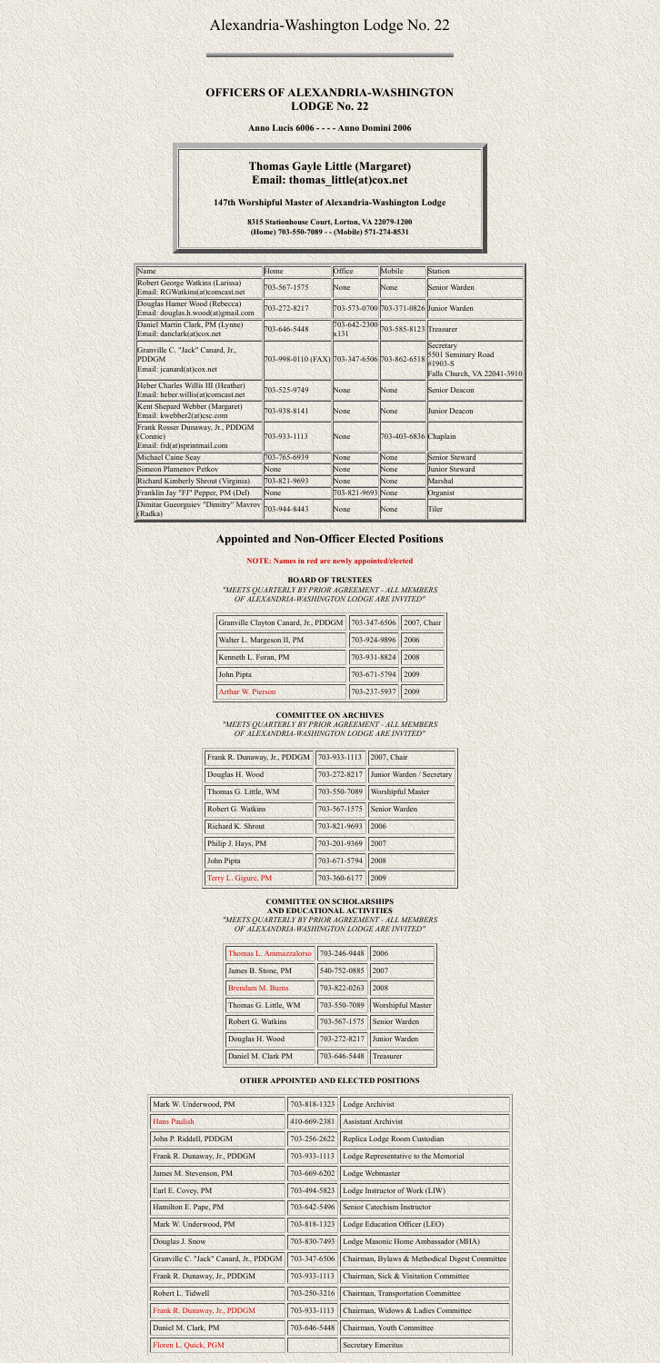# Alexandria-Washington Lodge No. 22

### **OFFICERS OF ALEXANDRIA-WASHINGTON LODGE No. 22**

**Anno Lucis 6006 - - - - Anno Domini 2006**

# **Thomas Gayle Little (Margaret) Email: thomas\_little(at)cox.net**

**147th Worshipful Master of Alexandria-Washington Lodge**

**8315 Stationhouse Court, Lorton, VA 22079-1200 (Home) 703-550-7089 - - (Mobile) 571-274-8531**

| Name                                                                          | Home                                         | Office               | Mobile                 | Station                                                                   |
|-------------------------------------------------------------------------------|----------------------------------------------|----------------------|------------------------|---------------------------------------------------------------------------|
| <b>Robert George Watkins (Larissa)</b><br>Email: RGWatkins(at)comcast.net     | 703-567-1575                                 | None                 | None                   | Senior Warden                                                             |
| Douglas Hamer Wood (Rebecca)<br>Email: douglas.h.wood(at)gmail.com            | 703-272-8217                                 |                      |                        | 703-573-0700 703-371-0826 Junior Warden                                   |
| Daniel Martin Clark, PM (Lynne)<br>Email: danclark(at)cox.net                 | 703-646-5448                                 | 703-642-2300<br>x131 | 703-585-8123 Treasurer |                                                                           |
| Granville C. "Jack" Canard, Jr.,<br><b>PDDGM</b><br>Email: jcanard(at)cox.net | 703-998-0110 (FAX) 703-347-6506 703-862-6518 |                      |                        | Secretary<br>5501 Seminary Road<br>#1903-S<br>Falls Church, VA 22041-3910 |
| Heber Charles Willis III (Heather)<br>Email: heber.willis(at)comcast.net      | 703-525-9749                                 | None                 | None                   | <b>Senior Deacon</b>                                                      |
| Kent Shepard Webber (Margaret)<br>Email: kwebber2(at)csc.com                  | 703-938-8141                                 | None                 | None                   | <b>Junior Deacon</b>                                                      |
| Frank Rosser Dunaway, Jr., PDDGM<br>(Connie)<br>Email: frd(at)sprintmail.com  | 703-933-1113                                 | None                 | 703-403-6836 Chaplain  |                                                                           |
| <b>Michael Caine Seay</b>                                                     | 703-765-6939                                 | None                 | None                   | <b>Senior Steward</b>                                                     |
| <b>Simeon Plamenov Petkov</b>                                                 | None                                         | None                 | None                   | <b>Junior Steward</b>                                                     |
| <b>Richard Kimberly Shrout (Virginia)</b>                                     | 703-821-9693                                 | None                 | None                   | Marshal                                                                   |
| Franklin Jay "FJ" Pepper, PM (Del)                                            | None                                         | 703-821-9693 None    |                        | Organist                                                                  |
| <b>Dimitar Gueorguiev "Dimitry" Mavrov</b><br>(Radka)                         | 703-944-8443                                 | None                 | None                   | Tiler                                                                     |

## **Appointed and Non-Officer Elected Positions**

**NOTE: Names in red are newly appointed/elected**

**BOARD OF TRUSTEES**

#### *"MEETS QUARTERLY BY PRIOR AGREEMENT - ALL MEMBERS OF ALEXANDRIA-WASHINGTON LODGE ARE INVITED"*

| Granville Clayton Canard, Jr., PDDGM | 703-347-6506 2007, Chair |      |
|--------------------------------------|--------------------------|------|
| Walter L. Margeson II, PM            | 703-924-9896 2006        |      |
| Kenneth L. Foran, PM                 | 703-931-8824             | 2008 |
| John Pipta                           | 703-671-5794             | 2009 |
| <b>Arthur W. Pierson</b>             | 703-237-5937             | 2009 |

#### **COMMITTEE ON ARCHIVES**

*"MEETS QUARTERLY BY PRIOR AGREEMENT - ALL MEMBERS OF ALEXANDRIA-WASHINGTON LODGE ARE INVITED"*

| Frank R. Dunaway, Jr., PDDGM | 703-933-1113 | 2007, Chair               |
|------------------------------|--------------|---------------------------|
| Douglas H. Wood              | 703-272-8217 | Junior Warden / Secretary |
| Thomas G. Little, WM         | 703-550-7089 | <b>Worshipful Master</b>  |
| Robert G. Watkins            | 703-567-1575 | Senior Warden             |
| Richard K. Shrout            | 703-821-9693 | 2006                      |
| Philip J. Hays, PM           | 703-201-9369 | 2007                      |
| John Pipta                   | 703-671-5794 | 2008                      |
| Terry L. Gigure, PM          | 703-360-6177 | 2009                      |

### **COMMITTEE ON SCHOLARSHIPS AND EDUCATIONAL ACTIVITIES**

*"MEETS QUARTERLY BY PRIOR AGREEMENT - ALL MEMBERS OF ALEXANDRIA-WASHINGTON LODGE ARE INVITED"*

| Thomas L. Ammazzalorso | 703-246-9448 | 2006                     |
|------------------------|--------------|--------------------------|
| James B. Stone, PM     | 540-752-0885 | 2007                     |
| Brendam M. Burns       | 703-822-0263 | 2008                     |
| Thomas G. Little, WM   | 703-550-7089 | <b>Worshipful Master</b> |
| Robert G. Watkins      | 703-567-1575 | <b>Senior Warden</b>     |
| Douglas H. Wood        | 703-272-8217 | <b>Junior Warden</b>     |
| Daniel M. Clark PM     | 703-646-5448 | Treasurer                |

### **OTHER APPOINTED AND ELECTED POSITIONS**

| Mark W. Underwood, PM                  | 703-818-1323 | Lodge Archivist                                |
|----------------------------------------|--------------|------------------------------------------------|
| <b>Hans Paulish</b>                    | 410-669-2381 | <b>Assistant Archivist</b>                     |
| John P. Riddell, PDDGM                 | 703-256-2622 | Replica Lodge Room Custodian                   |
| Frank R. Dunaway, Jr., PDDGM           | 703-933-1113 | Lodge Representative to the Memorial           |
| James M. Stevenson, PM                 | 703-669-6202 | Lodge Webmaster                                |
| Earl E. Covey, PM                      | 703-494-5823 | Lodge Instructor of Work (LIW)                 |
| Hamilton E. Pape, PM                   | 703-642-5496 | <b>Senior Catechism Instructor</b>             |
| Mark W. Underwood, PM                  | 703-818-1323 | Lodge Education Officer (LEO)                  |
| Douglas J. Snow                        | 703-830-7493 | Lodge Masonic Home Ambassador (MHA)            |
| Granville C. "Jack" Canard, Jr., PDDGM | 703-347-6506 | Chairman, Bylaws & Methodical Digest Committee |
| Frank R. Dunaway, Jr., PDDGM           | 703-933-1113 | Chairman, Sick & Visitation Committee          |
| Robert L. Tidwell                      | 703-250-3216 | <b>Chairman, Transportation Committee</b>      |
| Frank R. Dunaway, Jr., PDDGM           | 703-933-1113 | Chairman, Widows & Ladies Committee            |
| Daniel M. Clark, PM                    | 703-646-5448 | Chairman, Youth Committee                      |
| Floren L. Quick, PGM                   |              | <b>Secretary Emeritus</b>                      |

an an an ainm an ainm an air an ainm an ainm an air ainm an ainm an ainm air ainm an ainm an ainm air.